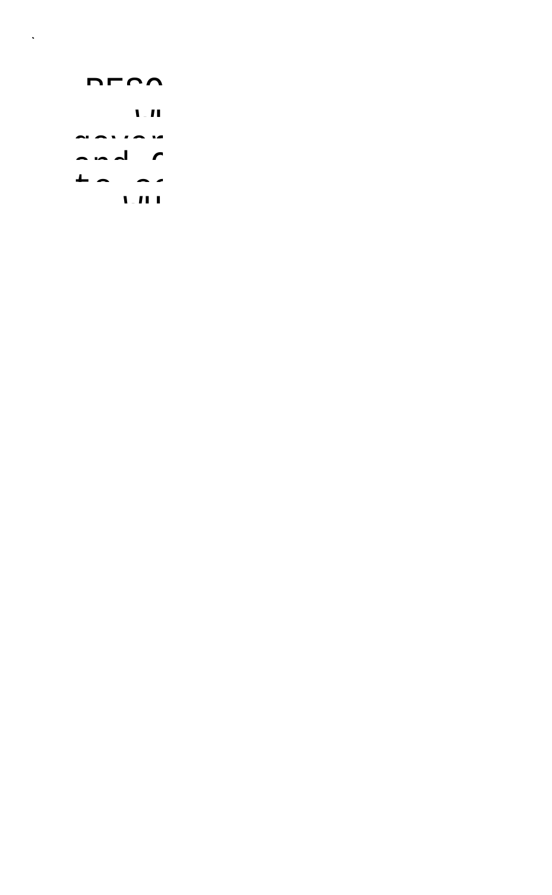RESOLUTION APPROVING ZONING PETITION APPROVING 2012 APPROVING 2013 APPROVING 2014  $\mathcal{F}$  where  $\mathcal{F}$  and  $\mathcal{F}$  and  $\mathcal{F}$  and  $\mathcal{F}$  and  $\mathcal{F}$  and  $\mathcal{F}$  and  $\mathcal{F}$  and  $\mathcal{F}$  and  $\mathcal{F}$  and  $\mathcal{F}$  and  $\mathcal{F}$  and  $\mathcal{F}$  and  $\mathcal{F}$  and  $\mathcal{F}$  and  $\mathcal{F}$  and  $\mathcal{F}$  an

WHEREAS, for in Chapter 402.5 of the Palm Beach County Zoning Code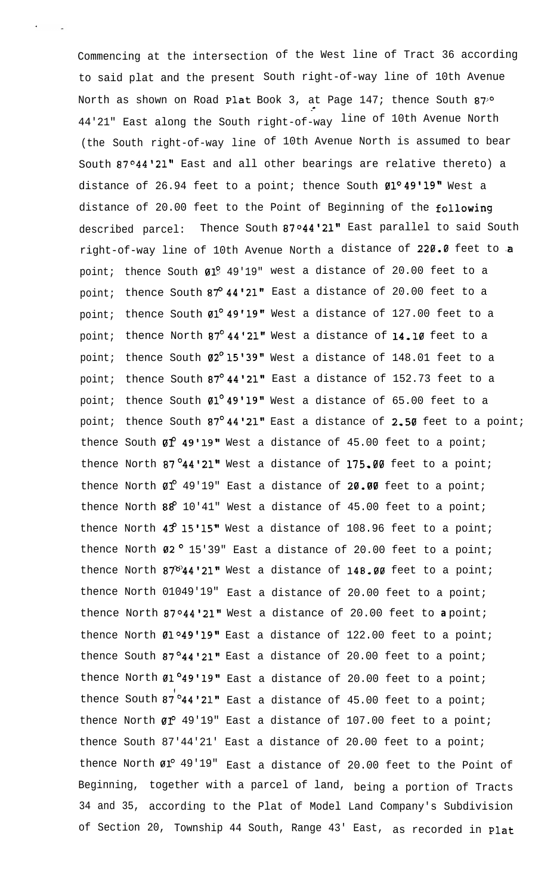Commencing at the intersection of the West line of Tract 36 according to said plat and the present South right-of-way line of 10th Avenue North as shown on Road Plat Book 3, at Page 147; thence South  $87°$ 44'21" East along the South right-of-way line of 10th Avenue North (the South right-of-way line of 10th Avenue North is assumed to bear South 87°44'21" East and all other bearings are relative thereto) a distance of 26.94 feet to a point; thence South  $01^{\circ}49'19''$  West a distance of 20.00 feet to the Point of Beginning of the following described parcel: Thence South 87044'21" East parallel to said South right-of-way line of 10th Avenue North a distance of 220.0 feet to a point; thence South  $\emptyset 1^{\circ}$  49'19" west a distance of 20.00 feet to a point; thence South  $87^{\circ}$  44'21" East a distance of 20.00 feet to a point; thence South  $01^{\circ}$  49'19" West a distance of 127.00 feet to a point; thence North  $87^{\circ}$  44'21" West a distance of 14.10 feet to a point; thence South  $02^{\circ}$  15'39" West a distance of 148.01 feet to a point; thence South  $87^{\circ}$  44'21" East a distance of 152.73 feet to a point; thence South  $01^{\circ}$  49'19" West a distance of 65.00 feet to a point; thence South  $87^{\circ}$  44'21" East a distance of 2.50 feet to a point; thence South  $\mathfrak{g} \mathfrak{f}$  49'19" West a distance of 45.00 feet to a point; thence North  $87^o44'21''$  West a distance of  $175.00$  feet to a point; thence North  $\emptyset_1^0$  49'19" East a distance of 20.00 feet to a point; thence North  $88^{\circ}$  10'41" West a distance of 45.00 feet to a point; thence North  $43^{\circ}$  15'15" West a distance of 108.96 feet to a point; thence North  $02^{\circ}$  15'39" East a distance of 20.00 feet to a point; thence North  $87^\circ$ 44'21" West a distance of 148.00 feet to a point; thence North 01049'19" East a distance of 20.00 feet to a point; thence North 87O44'21' West a distance of 20.00 feet to *a* point; thence North  $01^049'19''$  East a distance of 122.00 feet to a point; thence South  $87^{\circ}44'21''$  East a distance of 20.00 feet to a point; thence North  $01^049'19''$  East a distance of 20.00 feet to a point; thence South  $87°44'21"$  East a distance of 45.00 feet to a point; thence North  $\mathfrak{g} \mathfrak{p}$  49'19" East a distance of 107.00 feet to a point; thence South 87'44'21' East a distance of 20.00 feet to a point; thence North  $01^{\circ}$  49'19" East a distance of 20.00 feet to the Point of Beginning, together with a parcel of land, being a portion of Tracts 34 and 35, according to the Plat of Model Land Company's Subdivision of Section 20, Township 44 South, Range 43' East, as recorded in Plat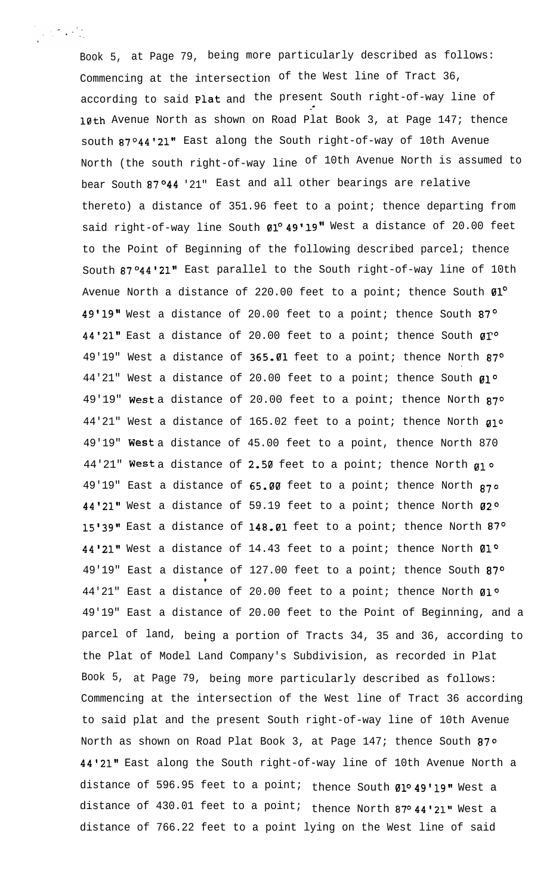Book 5, at Page 79, being more particularly described as follows: Commencing at the intersection of the West line of Tract 36, according to said Plat and the present South right-of-way line of .- 10th Avenue North as shown on Road Plat Book 3, at Page 147; thence south 87°44'21" East along the South right-of-way of 10th Avenue North (the south right-of-way line of 10th Avenue North is assumed to bear South 87°44 '21" East and all other bearings are relative thereto) a distance of 351.96 feet to a point; thence departing from said right-of-way line South  $01^{\circ}$  49'19" West a distance of 20.00 feet to the Point of Beginning of the following described parcel; thence South 87°44'21" East parallel to the South right-of-way line of 10th Avenue North a distance of 220.00 feet to a point; thence South  $0<sup>0</sup>$ 49'19" West a distance of 20.00 feet to a point; thence South 87<sup>o</sup> 44'21" East a distance of 20.00 feet to a point; thence South ØTº 49'19" West a distance of 365.01 feet to a point; thence North 87º . 44'21" West a distance of 20.00 feet to a point; thence South  $\emptyset$ 1° 49'19" West a distance of 20.00 feet to a point; thence North 87º 44'21" West a distance of 165.02 feet to a point; thence North  $g_1 \circ$ 49'19" West a distance of 45.00 feet to a point, thence North 870 44'21" West a distance of 2.50 feet to a point; thence North  $g_1 \circ$ 49'19" East a distance of  $65.00$  feet to a point; thence North  $g70$ 44'21" West a distance of 59.19 feet to a point; thence North 02° 15'39" East a distance of 148.01 feet to a point; thence North 87° 44'21" West a distance of 14.43 feet to a point; thence North 01° 49'19" East a distance of 127.00 feet to a point; thence South 87º 44'21" East a distance of 20.00 feet to a point; thence North  $g_1 \circ$ 49'19" East a distance of 20.00 feet to the Point of Beginning, and a parcel of land, being a portion of Tracts 34, 35 and 36, according to the Plat of Model Land Company's Subdivision, as recorded in Plat Book 5, at Page 79, being more particularly described as follows: Commencing at the intersection of the West line of Tract 36 according to said plat and the present South right-of-way line of 10th Avenue North as shown on Road Plat Book 3, at Page 147; thence South 87° 44'21" East along the South right-of-way line of 10th Avenue North a distance of 596.95 feet to a point; thence South  $01^{\circ}$  49'19" West a distance of 430.01 feet to a point; thence North  $87^{\circ}$  44'21" West a distance of 766.22 feet to a point lying on the West line of said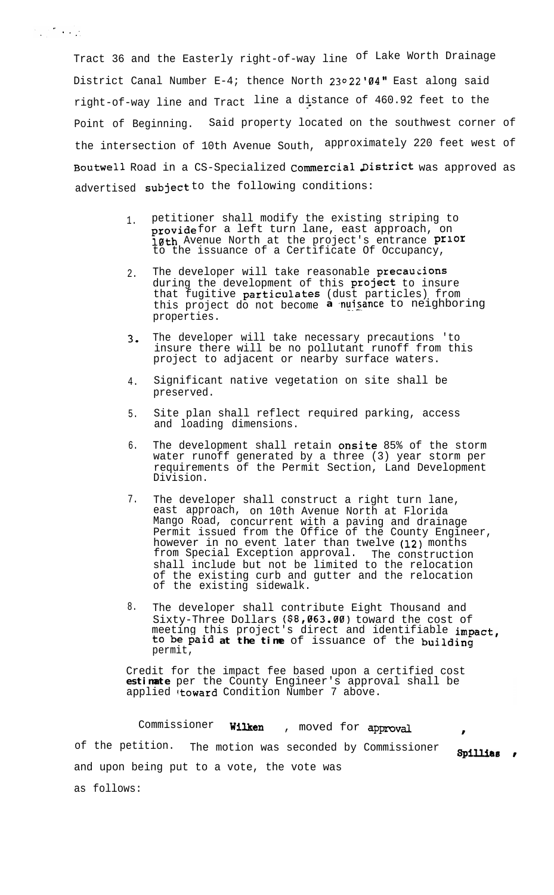Tract 36 and the Easterly right-of-way line of Lake Worth Drainage District Canal Number E-4; thence North 23022'04" East along said right-of-way line and Tract line a distance of 460.92 feet to the : Point of Beginning. Said property located on the southwest corner of the intersection of 10th Avenue South, approximately 220 feet west of Boutwell Road in a CS-Specialized Commercial District was approved as advertised subject to the following conditions:

- 1. petitioner shall modify the existing striping to provide for a left turn lane, east approach, on 10th Avenue North at the project's entrance Prior to the issuance of a Certificate Of Occupancy,
- 2. The developer will take reasonable precaucions during the development of this **project** to insure that fugitive particulates (dust particles) from this project do not become **a** nuisance to neighboring properties.
- 3. The developer will take necessary precautions 'to insure there will be no pollutant runoff from this project to adjacent or nearby surface waters.
- 4. Significant native vegetation on site shall be preserved.
- 5. Site plan shall reflect required parking, access and loading dimensions.
- 6. The development shall retain onsite 85% of the storm water runoff generated by a three (3) year storm per requirements of the Permit Section, Land Development Division.
- 7. The developer shall construct a right turn lane, east approach, on 10th Avenue North at Florida Mango Road, concurrent with a paving and drainage Permit issued from the Office of the County Engineer, however in no event later than twelve (12) months from Special Exception approval. The construction shall include but not be limited to the relocation of the existing curb and gutter and the relocation of the existing sidewalk.
- 8. The developer shall contribute Eight Thousand and Sixty-Three Dollars (\$8,063.00) toward the cost of meeting this project's direct and identifiable impact, **to be paid at the time** of issuance of the building permit,

Credit for the impact fee based upon a certified cost **estimate** per the County Engineer's approval shall be applied 'toward Condition Number 7 above.

Commissioner Wilken , moved for approval of the petition. The motion was seconded by Commissioner Spillias , and upon being put to a vote, the vote was

as follows:

 $\mathcal{L}_{\mathcal{A}}$  ,  $\mathcal{L}_{\mathcal{A}}$  ,  $\mathcal{L}_{\mathcal{A}}$  ,  $\mathcal{L}_{\mathcal{A}}$